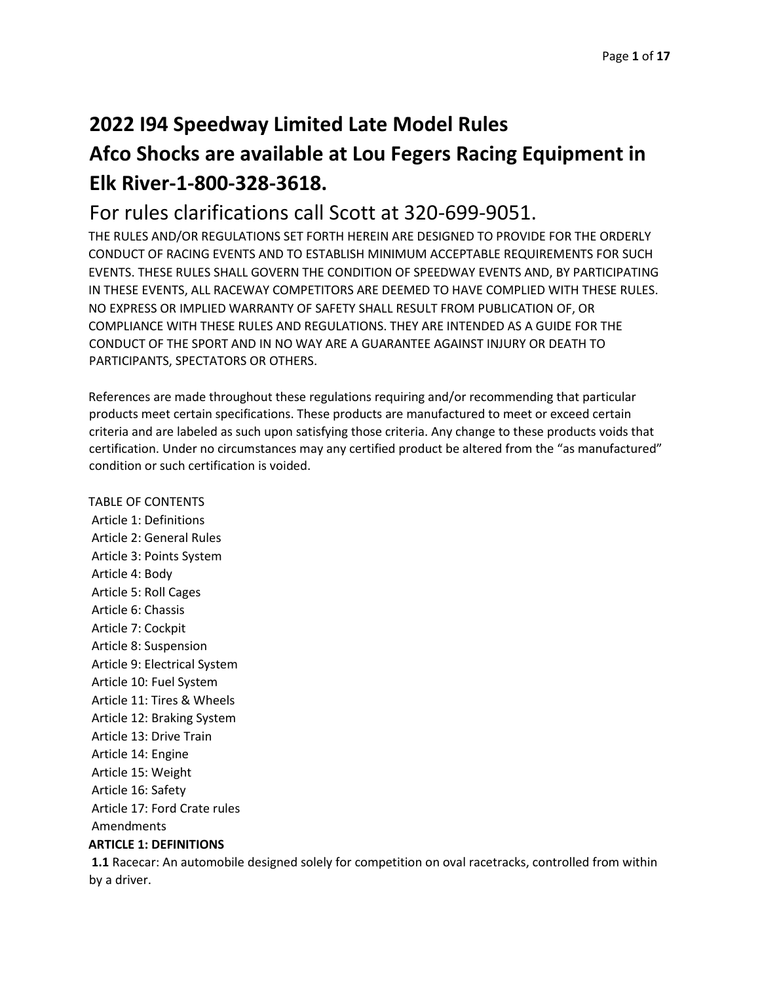## **2022 I94 Speedway Limited Late Model Rules**

# **Afco Shocks are available at Lou Fegers Racing Equipment in Elk River-1-800-328-3618.**

## For rules clarifications call Scott at 320-699-9051.

THE RULES AND/OR REGULATIONS SET FORTH HEREIN ARE DESIGNED TO PROVIDE FOR THE ORDERLY CONDUCT OF RACING EVENTS AND TO ESTABLISH MINIMUM ACCEPTABLE REQUIREMENTS FOR SUCH EVENTS. THESE RULES SHALL GOVERN THE CONDITION OF SPEEDWAY EVENTS AND, BY PARTICIPATING IN THESE EVENTS, ALL RACEWAY COMPETITORS ARE DEEMED TO HAVE COMPLIED WITH THESE RULES. NO EXPRESS OR IMPLIED WARRANTY OF SAFETY SHALL RESULT FROM PUBLICATION OF, OR COMPLIANCE WITH THESE RULES AND REGULATIONS. THEY ARE INTENDED AS A GUIDE FOR THE CONDUCT OF THE SPORT AND IN NO WAY ARE A GUARANTEE AGAINST INJURY OR DEATH TO PARTICIPANTS, SPECTATORS OR OTHERS.

References are made throughout these regulations requiring and/or recommending that particular products meet certain specifications. These products are manufactured to meet or exceed certain criteria and are labeled as such upon satisfying those criteria. Any change to these products voids that certification. Under no circumstances may any certified product be altered from the "as manufactured" condition or such certification is voided.

## TABLE OF CONTENTS

Article 1: Definitions Article 2: General Rules Article 3: Points System Article 4: Body Article 5: Roll Cages Article 6: Chassis Article 7: Cockpit Article 8: Suspension Article 9: Electrical System Article 10: Fuel System Article 11: Tires & Wheels Article 12: Braking System Article 13: Drive Train Article 14: Engine Article 15: Weight Article 16: Safety Article 17: Ford Crate rules Amendments

## **ARTICLE 1: DEFINITIONS**

**1.1** Racecar: An automobile designed solely for competition on oval racetracks, controlled from within by a driver.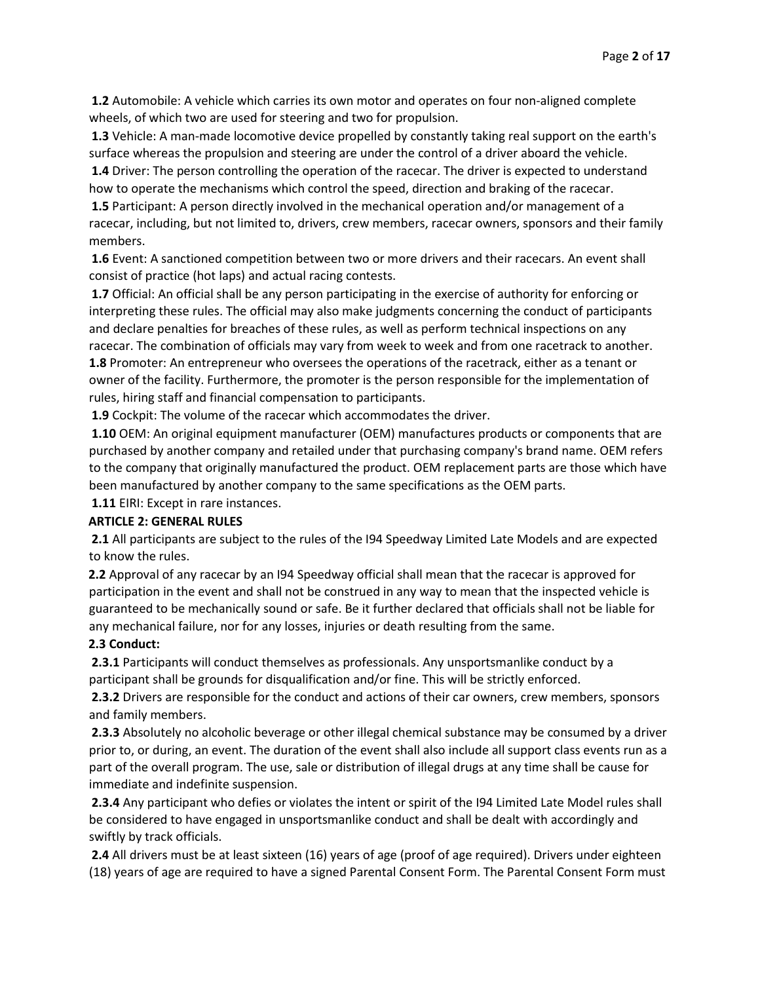**1.2** Automobile: A vehicle which carries its own motor and operates on four non-aligned complete wheels, of which two are used for steering and two for propulsion.

**1.3** Vehicle: A man-made locomotive device propelled by constantly taking real support on the earth's surface whereas the propulsion and steering are under the control of a driver aboard the vehicle.

**1.4** Driver: The person controlling the operation of the racecar. The driver is expected to understand how to operate the mechanisms which control the speed, direction and braking of the racecar.

**1.5** Participant: A person directly involved in the mechanical operation and/or management of a racecar, including, but not limited to, drivers, crew members, racecar owners, sponsors and their family members.

**1.6** Event: A sanctioned competition between two or more drivers and their racecars. An event shall consist of practice (hot laps) and actual racing contests.

**1.7** Official: An official shall be any person participating in the exercise of authority for enforcing or interpreting these rules. The official may also make judgments concerning the conduct of participants and declare penalties for breaches of these rules, as well as perform technical inspections on any racecar. The combination of officials may vary from week to week and from one racetrack to another. **1.8** Promoter: An entrepreneur who oversees the operations of the racetrack, either as a tenant or owner of the facility. Furthermore, the promoter is the person responsible for the implementation of rules, hiring staff and financial compensation to participants.

**1.9** Cockpit: The volume of the racecar which accommodates the driver.

**1.10** OEM: An original equipment manufacturer (OEM) manufactures products or components that are purchased by another company and retailed under that purchasing company's brand name. OEM refers to the company that originally manufactured the product. OEM replacement parts are those which have been manufactured by another company to the same specifications as the OEM parts.

**1.11** EIRI: Except in rare instances.

#### **ARTICLE 2: GENERAL RULES**

**2.1** All participants are subject to the rules of the I94 Speedway Limited Late Models and are expected to know the rules.

**2.2** Approval of any racecar by an I94 Speedway official shall mean that the racecar is approved for participation in the event and shall not be construed in any way to mean that the inspected vehicle is guaranteed to be mechanically sound or safe. Be it further declared that officials shall not be liable for any mechanical failure, nor for any losses, injuries or death resulting from the same.

#### **2.3 Conduct:**

**2.3.1** Participants will conduct themselves as professionals. Any unsportsmanlike conduct by a participant shall be grounds for disqualification and/or fine. This will be strictly enforced.

**2.3.2** Drivers are responsible for the conduct and actions of their car owners, crew members, sponsors and family members.

**2.3.3** Absolutely no alcoholic beverage or other illegal chemical substance may be consumed by a driver prior to, or during, an event. The duration of the event shall also include all support class events run as a part of the overall program. The use, sale or distribution of illegal drugs at any time shall be cause for immediate and indefinite suspension.

**2.3.4** Any participant who defies or violates the intent or spirit of the I94 Limited Late Model rules shall be considered to have engaged in unsportsmanlike conduct and shall be dealt with accordingly and swiftly by track officials.

**2.4** All drivers must be at least sixteen (16) years of age (proof of age required). Drivers under eighteen (18) years of age are required to have a signed Parental Consent Form. The Parental Consent Form must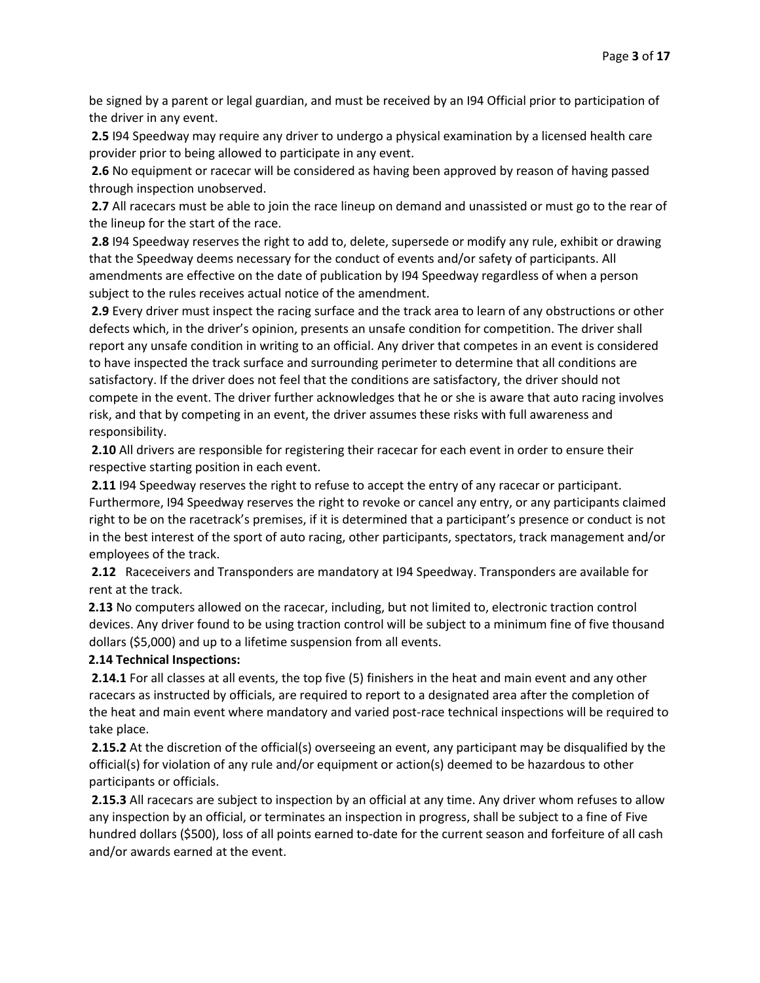be signed by a parent or legal guardian, and must be received by an I94 Official prior to participation of the driver in any event.

**2.5** I94 Speedway may require any driver to undergo a physical examination by a licensed health care provider prior to being allowed to participate in any event.

**2.6** No equipment or racecar will be considered as having been approved by reason of having passed through inspection unobserved.

**2.7** All racecars must be able to join the race lineup on demand and unassisted or must go to the rear of the lineup for the start of the race.

**2.8** I94 Speedway reserves the right to add to, delete, supersede or modify any rule, exhibit or drawing that the Speedway deems necessary for the conduct of events and/or safety of participants. All amendments are effective on the date of publication by I94 Speedway regardless of when a person subject to the rules receives actual notice of the amendment.

**2.9** Every driver must inspect the racing surface and the track area to learn of any obstructions or other defects which, in the driver's opinion, presents an unsafe condition for competition. The driver shall report any unsafe condition in writing to an official. Any driver that competes in an event is considered to have inspected the track surface and surrounding perimeter to determine that all conditions are satisfactory. If the driver does not feel that the conditions are satisfactory, the driver should not compete in the event. The driver further acknowledges that he or she is aware that auto racing involves risk, and that by competing in an event, the driver assumes these risks with full awareness and responsibility.

**2.10** All drivers are responsible for registering their racecar for each event in order to ensure their respective starting position in each event.

**2.11** I94 Speedway reserves the right to refuse to accept the entry of any racecar or participant. Furthermore, I94 Speedway reserves the right to revoke or cancel any entry, or any participants claimed right to be on the racetrack's premises, if it is determined that a participant's presence or conduct is not in the best interest of the sport of auto racing, other participants, spectators, track management and/or employees of the track.

**2.12** Raceceivers and Transponders are mandatory at I94 Speedway. Transponders are available for rent at the track.

**2.13** No computers allowed on the racecar, including, but not limited to, electronic traction control devices. Any driver found to be using traction control will be subject to a minimum fine of five thousand dollars (\$5,000) and up to a lifetime suspension from all events.

#### **2.14 Technical Inspections:**

**2.14.1** For all classes at all events, the top five (5) finishers in the heat and main event and any other racecars as instructed by officials, are required to report to a designated area after the completion of the heat and main event where mandatory and varied post-race technical inspections will be required to take place.

**2.15.2** At the discretion of the official(s) overseeing an event, any participant may be disqualified by the official(s) for violation of any rule and/or equipment or action(s) deemed to be hazardous to other participants or officials.

**2.15.3** All racecars are subject to inspection by an official at any time. Any driver whom refuses to allow any inspection by an official, or terminates an inspection in progress, shall be subject to a fine of Five hundred dollars (\$500), loss of all points earned to-date for the current season and forfeiture of all cash and/or awards earned at the event.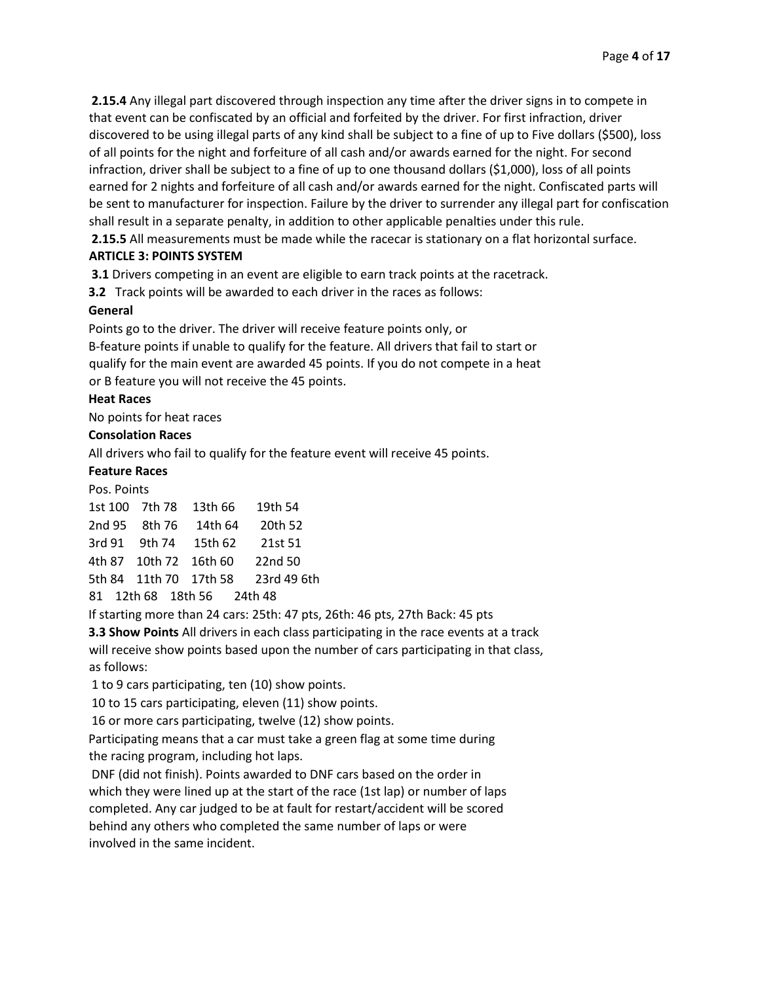**2.15.4** Any illegal part discovered through inspection any time after the driver signs in to compete in that event can be confiscated by an official and forfeited by the driver. For first infraction, driver discovered to be using illegal parts of any kind shall be subject to a fine of up to Five dollars (\$500), loss of all points for the night and forfeiture of all cash and/or awards earned for the night. For second infraction, driver shall be subject to a fine of up to one thousand dollars (\$1,000), loss of all points earned for 2 nights and forfeiture of all cash and/or awards earned for the night. Confiscated parts will be sent to manufacturer for inspection. Failure by the driver to surrender any illegal part for confiscation shall result in a separate penalty, in addition to other applicable penalties under this rule.

**2.15.5** All measurements must be made while the racecar is stationary on a flat horizontal surface.

## **ARTICLE 3: POINTS SYSTEM**

**3.1** Drivers competing in an event are eligible to earn track points at the racetrack.

**3.2** Track points will be awarded to each driver in the races as follows:

## **General**

Points go to the driver. The driver will receive feature points only, or B-feature points if unable to qualify for the feature. All drivers that fail to start or qualify for the main event are awarded 45 points. If you do not compete in a heat or B feature you will not receive the 45 points.

## **Heat Races**

No points for heat races

## **Consolation Races**

All drivers who fail to qualify for the feature event will receive 45 points.

## **Feature Races**

Pos. Points

| 1st 100 7th 78         | 13th 66 | 19th 54     |
|------------------------|---------|-------------|
| 2nd 95 8th 76          | 14th 64 | 20th 52     |
| 3rd 91 9th 74          | 15th 62 | 21st 51     |
| 4th 87 10th 72 16th 60 |         | 22nd 50     |
| 5th 84 11th 70 17th 58 |         | 23rd 49 6th |
|                        |         |             |

81 12th 68 18th 56 24th 48

If starting more than 24 cars: 25th: 47 pts, 26th: 46 pts, 27th Back: 45 pts

**3.3 Show Points** All drivers in each class participating in the race events at a track will receive show points based upon the number of cars participating in that class, as follows:

1 to 9 cars participating, ten (10) show points.

10 to 15 cars participating, eleven (11) show points.

16 or more cars participating, twelve (12) show points.

Participating means that a car must take a green flag at some time during the racing program, including hot laps.

DNF (did not finish). Points awarded to DNF cars based on the order in which they were lined up at the start of the race (1st lap) or number of laps completed. Any car judged to be at fault for restart/accident will be scored behind any others who completed the same number of laps or were involved in the same incident.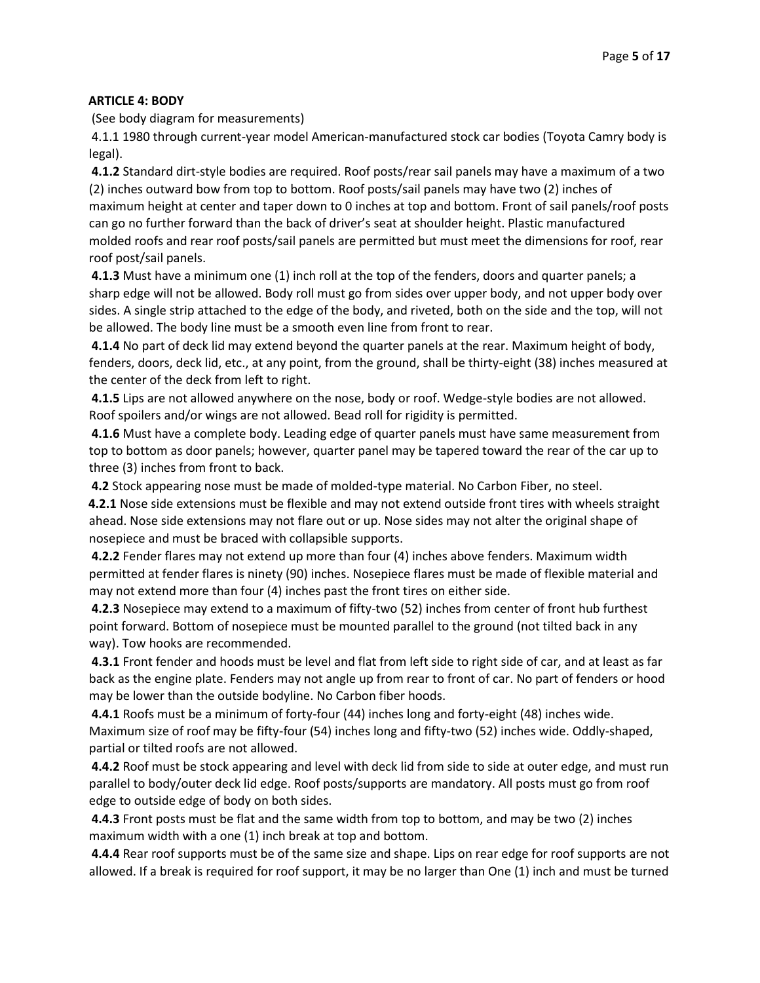## **ARTICLE 4: BODY**

(See body diagram for measurements)

4.1.1 1980 through current-year model American-manufactured stock car bodies (Toyota Camry body is legal).

**4.1.2** Standard dirt-style bodies are required. Roof posts/rear sail panels may have a maximum of a two (2) inches outward bow from top to bottom. Roof posts/sail panels may have two (2) inches of maximum height at center and taper down to 0 inches at top and bottom. Front of sail panels/roof posts can go no further forward than the back of driver's seat at shoulder height. Plastic manufactured molded roofs and rear roof posts/sail panels are permitted but must meet the dimensions for roof, rear roof post/sail panels.

**4.1.3** Must have a minimum one (1) inch roll at the top of the fenders, doors and quarter panels; a sharp edge will not be allowed. Body roll must go from sides over upper body, and not upper body over sides. A single strip attached to the edge of the body, and riveted, both on the side and the top, will not be allowed. The body line must be a smooth even line from front to rear.

**4.1.4** No part of deck lid may extend beyond the quarter panels at the rear. Maximum height of body, fenders, doors, deck lid, etc., at any point, from the ground, shall be thirty-eight (38) inches measured at the center of the deck from left to right.

**4.1.5** Lips are not allowed anywhere on the nose, body or roof. Wedge-style bodies are not allowed. Roof spoilers and/or wings are not allowed. Bead roll for rigidity is permitted.

**4.1.6** Must have a complete body. Leading edge of quarter panels must have same measurement from top to bottom as door panels; however, quarter panel may be tapered toward the rear of the car up to three (3) inches from front to back.

**4.2** Stock appearing nose must be made of molded-type material. No Carbon Fiber, no steel.

**4.2.1** Nose side extensions must be flexible and may not extend outside front tires with wheels straight ahead. Nose side extensions may not flare out or up. Nose sides may not alter the original shape of nosepiece and must be braced with collapsible supports.

**4.2.2** Fender flares may not extend up more than four (4) inches above fenders. Maximum width permitted at fender flares is ninety (90) inches. Nosepiece flares must be made of flexible material and may not extend more than four (4) inches past the front tires on either side.

**4.2.3** Nosepiece may extend to a maximum of fifty-two (52) inches from center of front hub furthest point forward. Bottom of nosepiece must be mounted parallel to the ground (not tilted back in any way). Tow hooks are recommended.

**4.3.1** Front fender and hoods must be level and flat from left side to right side of car, and at least as far back as the engine plate. Fenders may not angle up from rear to front of car. No part of fenders or hood may be lower than the outside bodyline. No Carbon fiber hoods.

**4.4.1** Roofs must be a minimum of forty-four (44) inches long and forty-eight (48) inches wide. Maximum size of roof may be fifty-four (54) inches long and fifty-two (52) inches wide. Oddly-shaped, partial or tilted roofs are not allowed.

**4.4.2** Roof must be stock appearing and level with deck lid from side to side at outer edge, and must run parallel to body/outer deck lid edge. Roof posts/supports are mandatory. All posts must go from roof edge to outside edge of body on both sides.

**4.4.3** Front posts must be flat and the same width from top to bottom, and may be two (2) inches maximum width with a one (1) inch break at top and bottom.

**4.4.4** Rear roof supports must be of the same size and shape. Lips on rear edge for roof supports are not allowed. If a break is required for roof support, it may be no larger than One (1) inch and must be turned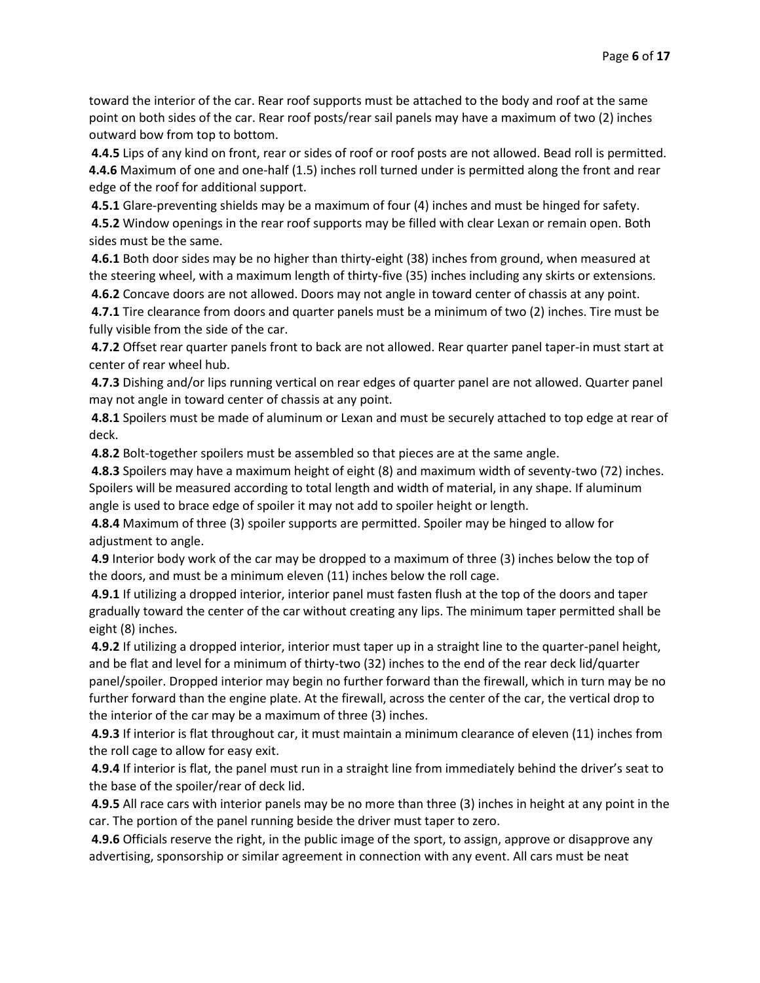toward the interior of the car. Rear roof supports must be attached to the body and roof at the same point on both sides of the car. Rear roof posts/rear sail panels may have a maximum of two (2) inches outward bow from top to bottom.

**4.4.5** Lips of any kind on front, rear or sides of roof or roof posts are not allowed. Bead roll is permitted. **4.4.6** Maximum of one and one-half (1.5) inches roll turned under is permitted along the front and rear edge of the roof for additional support.

**4.5.1** Glare-preventing shields may be a maximum of four (4) inches and must be hinged for safety. **4.5.2** Window openings in the rear roof supports may be filled with clear Lexan or remain open. Both sides must be the same.

**4.6.1** Both door sides may be no higher than thirty-eight (38) inches from ground, when measured at the steering wheel, with a maximum length of thirty-five (35) inches including any skirts or extensions.

**4.6.2** Concave doors are not allowed. Doors may not angle in toward center of chassis at any point.

**4.7.1** Tire clearance from doors and quarter panels must be a minimum of two (2) inches. Tire must be fully visible from the side of the car.

**4.7.2** Offset rear quarter panels front to back are not allowed. Rear quarter panel taper-in must start at center of rear wheel hub.

**4.7.3** Dishing and/or lips running vertical on rear edges of quarter panel are not allowed. Quarter panel may not angle in toward center of chassis at any point.

**4.8.1** Spoilers must be made of aluminum or Lexan and must be securely attached to top edge at rear of deck.

**4.8.2** Bolt-together spoilers must be assembled so that pieces are at the same angle.

**4.8.3** Spoilers may have a maximum height of eight (8) and maximum width of seventy-two (72) inches. Spoilers will be measured according to total length and width of material, in any shape. If aluminum angle is used to brace edge of spoiler it may not add to spoiler height or length.

**4.8.4** Maximum of three (3) spoiler supports are permitted. Spoiler may be hinged to allow for adjustment to angle.

**4.9** Interior body work of the car may be dropped to a maximum of three (3) inches below the top of the doors, and must be a minimum eleven (11) inches below the roll cage.

**4.9.1** If utilizing a dropped interior, interior panel must fasten flush at the top of the doors and taper gradually toward the center of the car without creating any lips. The minimum taper permitted shall be eight (8) inches.

**4.9.2** If utilizing a dropped interior, interior must taper up in a straight line to the quarter-panel height, and be flat and level for a minimum of thirty-two (32) inches to the end of the rear deck lid/quarter panel/spoiler. Dropped interior may begin no further forward than the firewall, which in turn may be no further forward than the engine plate. At the firewall, across the center of the car, the vertical drop to the interior of the car may be a maximum of three (3) inches.

**4.9.3** If interior is flat throughout car, it must maintain a minimum clearance of eleven (11) inches from the roll cage to allow for easy exit.

**4.9.4** If interior is flat, the panel must run in a straight line from immediately behind the driver's seat to the base of the spoiler/rear of deck lid.

**4.9.5** All race cars with interior panels may be no more than three (3) inches in height at any point in the car. The portion of the panel running beside the driver must taper to zero.

**4.9.6** Officials reserve the right, in the public image of the sport, to assign, approve or disapprove any advertising, sponsorship or similar agreement in connection with any event. All cars must be neat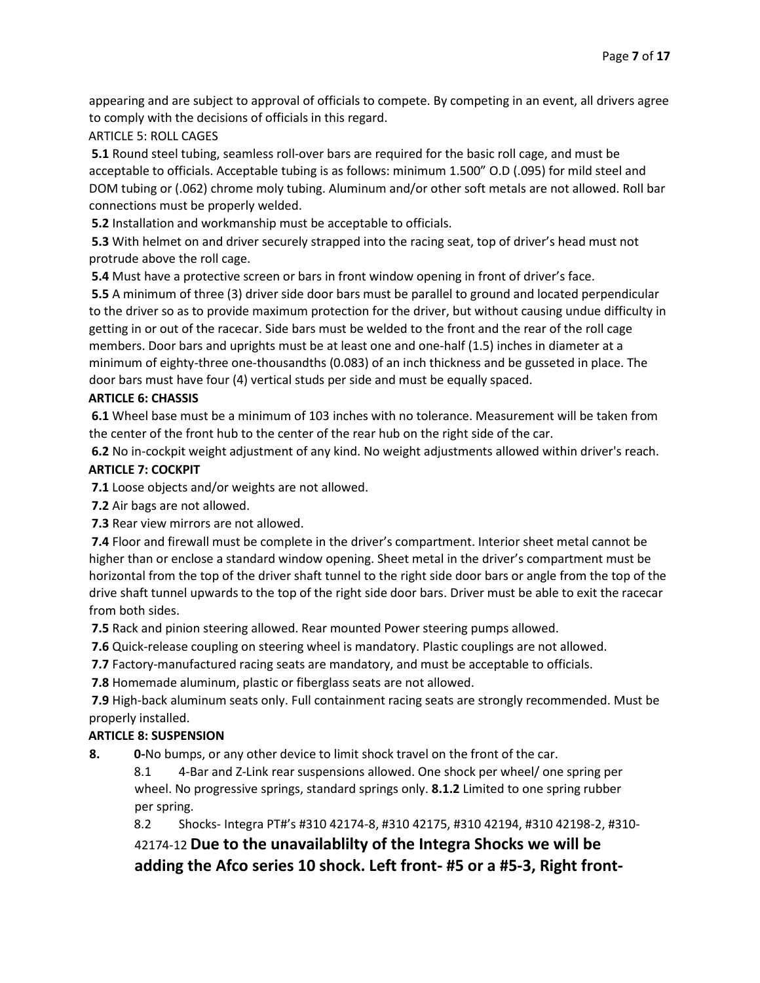appearing and are subject to approval of officials to compete. By competing in an event, all drivers agree to comply with the decisions of officials in this regard.

## ARTICLE 5: ROLL CAGES

**5.1** Round steel tubing, seamless roll-over bars are required for the basic roll cage, and must be acceptable to officials. Acceptable tubing is as follows: minimum 1.500" O.D (.095) for mild steel and DOM tubing or (.062) chrome moly tubing. Aluminum and/or other soft metals are not allowed. Roll bar connections must be properly welded.

**5.2** Installation and workmanship must be acceptable to officials.

**5.3** With helmet on and driver securely strapped into the racing seat, top of driver's head must not protrude above the roll cage.

**5.4** Must have a protective screen or bars in front window opening in front of driver's face.

**5.5** A minimum of three (3) driver side door bars must be parallel to ground and located perpendicular to the driver so as to provide maximum protection for the driver, but without causing undue difficulty in getting in or out of the racecar. Side bars must be welded to the front and the rear of the roll cage members. Door bars and uprights must be at least one and one-half (1.5) inches in diameter at a minimum of eighty-three one-thousandths (0.083) of an inch thickness and be gusseted in place. The door bars must have four (4) vertical studs per side and must be equally spaced.

## **ARTICLE 6: CHASSIS**

**6.1** Wheel base must be a minimum of 103 inches with no tolerance. Measurement will be taken from the center of the front hub to the center of the rear hub on the right side of the car.

**6.2** No in-cockpit weight adjustment of any kind. No weight adjustments allowed within driver's reach. **ARTICLE 7: COCKPIT** 

**7.1** Loose objects and/or weights are not allowed.

**7.2** Air bags are not allowed.

**7.3** Rear view mirrors are not allowed.

**7.4** Floor and firewall must be complete in the driver's compartment. Interior sheet metal cannot be higher than or enclose a standard window opening. Sheet metal in the driver's compartment must be horizontal from the top of the driver shaft tunnel to the right side door bars or angle from the top of the drive shaft tunnel upwards to the top of the right side door bars. Driver must be able to exit the racecar from both sides.

**7.5** Rack and pinion steering allowed. Rear mounted Power steering pumps allowed.

**7.6** Quick-release coupling on steering wheel is mandatory. Plastic couplings are not allowed.

**7.7** Factory-manufactured racing seats are mandatory, and must be acceptable to officials.

**7.8** Homemade aluminum, plastic or fiberglass seats are not allowed.

**7.9** High-back aluminum seats only. Full containment racing seats are strongly recommended. Must be properly installed.

## **ARTICLE 8: SUSPENSION**

**8. 0-**No bumps, or any other device to limit shock travel on the front of the car.

8.1 4-Bar and Z-Link rear suspensions allowed. One shock per wheel/ one spring per wheel. No progressive springs, standard springs only. **8.1.2** Limited to one spring rubber per spring.

8.2 Shocks- Integra PT#'s #310 42174-8, #310 42175, #310 42194, #310 42198-2, #310-

42174-12 **Due to the unavailablilty of the Integra Shocks we will be adding the Afco series 10 shock. Left front- #5 or a #5-3, Right front-**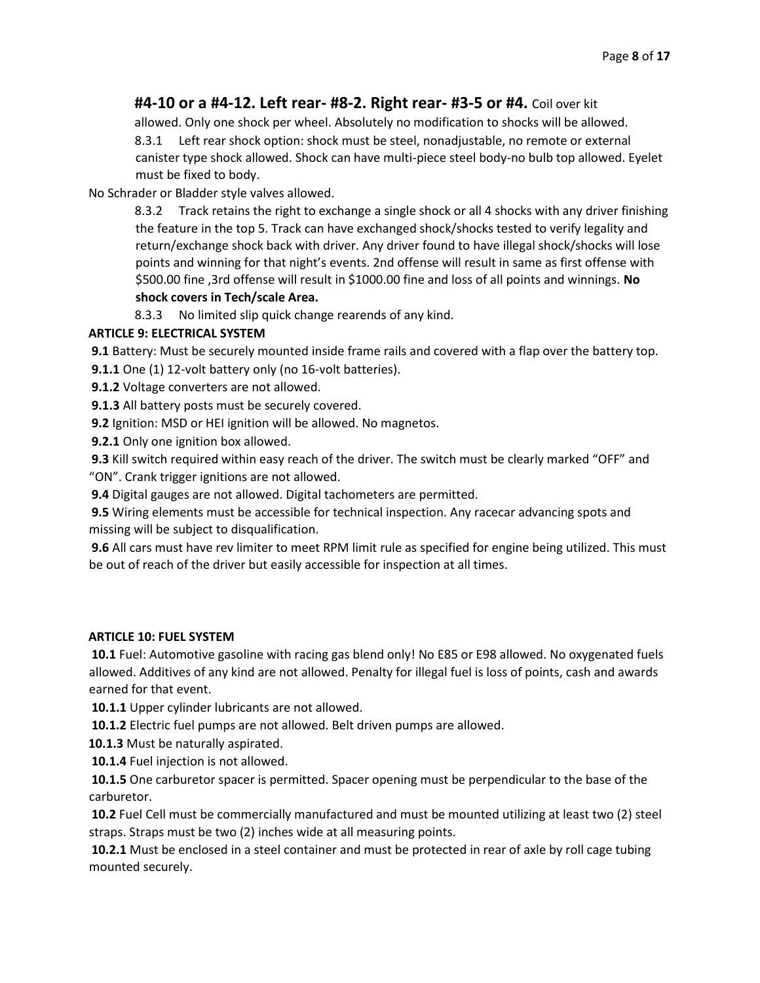## **#4-10 or a #4-12. Left rear- #8-2. Right rear- #3-5 or #4.** Coil over kit

allowed. Only one shock per wheel. Absolutely no modification to shocks will be allowed.

8.3.1 Left rear shock option: shock must be steel, nonadjustable, no remote or external canister type shock allowed. Shock can have multi-piece steel body-no bulb top allowed. Eyelet must be fixed to body.

No Schrader or Bladder style valves allowed.

8.3.2 Track retains the right to exchange a single shock or all 4 shocks with any driver finishing the feature in the top 5. Track can have exchanged shock/shocks tested to verify legality and return/exchange shock back with driver. Any driver found to have illegal shock/shocks will lose points and winning for that night's events. 2nd offense will result in same as first offense with \$500.00 fine ,3rd offense will result in \$1000.00 fine and loss of all points and winnings. **No shock covers in Tech/scale Area.** 

8.3.3 No limited slip quick change rearends of any kind.

## **ARTICLE 9: ELECTRICAL SYSTEM**

**9.1** Battery: Must be securely mounted inside frame rails and covered with a flap over the battery top.

**9.1.1** One (1) 12-volt battery only (no 16-volt batteries).

**9.1.2** Voltage converters are not allowed.

**9.1.3** All battery posts must be securely covered.

**9.2** Ignition: MSD or HEI ignition will be allowed. No magnetos.

**9.2.1** Only one ignition box allowed.

**9.3** Kill switch required within easy reach of the driver. The switch must be clearly marked "OFF" and "ON". Crank trigger ignitions are not allowed.

**9.4** Digital gauges are not allowed. Digital tachometers are permitted.

**9.5** Wiring elements must be accessible for technical inspection. Any racecar advancing spots and missing will be subject to disqualification.

**9.6** All cars must have rev limiter to meet RPM limit rule as specified for engine being utilized. This must be out of reach of the driver but easily accessible for inspection at all times.

## **ARTICLE 10: FUEL SYSTEM**

**10.1** Fuel: Automotive gasoline with racing gas blend only! No E85 or E98 allowed. No oxygenated fuels allowed. Additives of any kind are not allowed. Penalty for illegal fuel is loss of points, cash and awards earned for that event.

**10.1.1** Upper cylinder lubricants are not allowed.

**10.1.2** Electric fuel pumps are not allowed. Belt driven pumps are allowed.

**10.1.3** Must be naturally aspirated.

**10.1.4** Fuel injection is not allowed.

**10.1.5** One carburetor spacer is permitted. Spacer opening must be perpendicular to the base of the carburetor.

**10.2** Fuel Cell must be commercially manufactured and must be mounted utilizing at least two (2) steel straps. Straps must be two (2) inches wide at all measuring points.

**10.2.1** Must be enclosed in a steel container and must be protected in rear of axle by roll cage tubing mounted securely.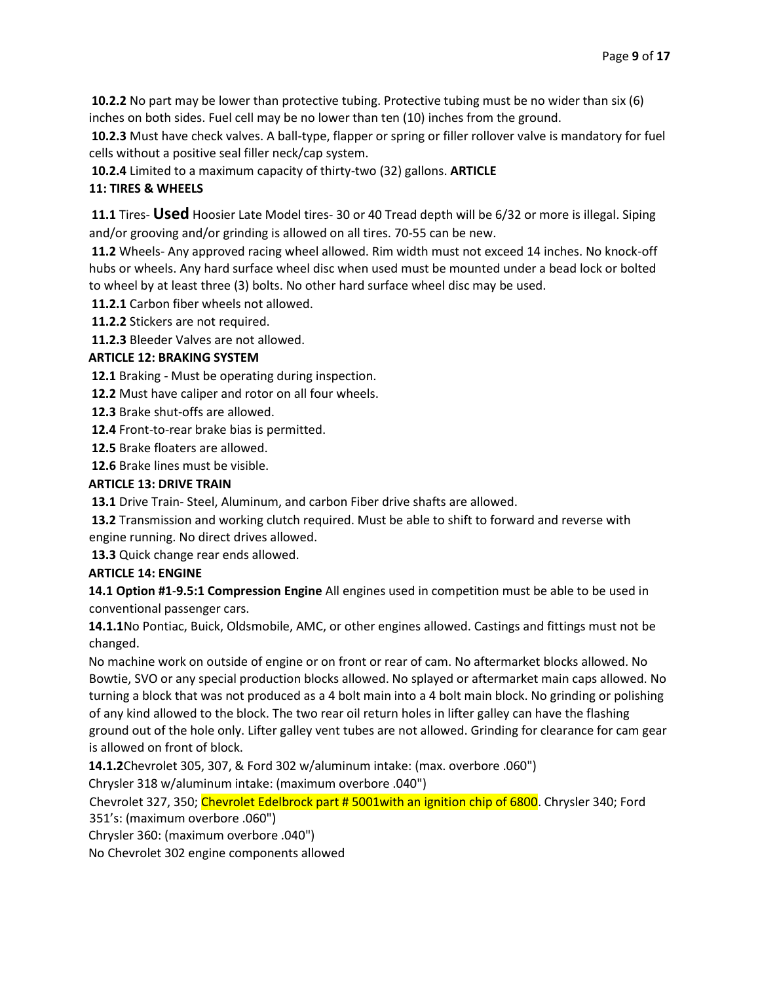**10.2.2** No part may be lower than protective tubing. Protective tubing must be no wider than six (6) inches on both sides. Fuel cell may be no lower than ten (10) inches from the ground.

**10.2.3** Must have check valves. A ball-type, flapper or spring or filler rollover valve is mandatory for fuel cells without a positive seal filler neck/cap system.

**10.2.4** Limited to a maximum capacity of thirty-two (32) gallons. **ARTICLE** 

## **11: TIRES & WHEELS**

**11.1** Tires- **Used** Hoosier Late Model tires- 30 or 40 Tread depth will be 6/32 or more is illegal. Siping and/or grooving and/or grinding is allowed on all tires. 70-55 can be new.

**11.2** Wheels- Any approved racing wheel allowed. Rim width must not exceed 14 inches. No knock-off hubs or wheels. Any hard surface wheel disc when used must be mounted under a bead lock or bolted to wheel by at least three (3) bolts. No other hard surface wheel disc may be used.

**11.2.1** Carbon fiber wheels not allowed.

**11.2.2** Stickers are not required.

**11.2.3** Bleeder Valves are not allowed.

## **ARTICLE 12: BRAKING SYSTEM**

**12.1** Braking - Must be operating during inspection.

**12.2** Must have caliper and rotor on all four wheels.

**12.3** Brake shut-offs are allowed.

**12.4** Front-to-rear brake bias is permitted.

**12.5** Brake floaters are allowed.

**12.6** Brake lines must be visible.

#### **ARTICLE 13: DRIVE TRAIN**

**13.1** Drive Train- Steel, Aluminum, and carbon Fiber drive shafts are allowed.

**13.2** Transmission and working clutch required. Must be able to shift to forward and reverse with engine running. No direct drives allowed.

**13.3** Quick change rear ends allowed.

## **ARTICLE 14: ENGINE**

**14.1 Option #1**-**9.5:1 Compression Engine** All engines used in competition must be able to be used in conventional passenger cars.

**14.1.1**No Pontiac, Buick, Oldsmobile, AMC, or other engines allowed. Castings and fittings must not be changed.

No machine work on outside of engine or on front or rear of cam. No aftermarket blocks allowed. No Bowtie, SVO or any special production blocks allowed. No splayed or aftermarket main caps allowed. No turning a block that was not produced as a 4 bolt main into a 4 bolt main block. No grinding or polishing of any kind allowed to the block. The two rear oil return holes in lifter galley can have the flashing ground out of the hole only. Lifter galley vent tubes are not allowed. Grinding for clearance for cam gear is allowed on front of block.

**14.1.2**Chevrolet 305, 307, & Ford 302 w/aluminum intake: (max. overbore .060")

Chrysler 318 w/aluminum intake: (maximum overbore .040")

Chevrolet 327, 350; Chevrolet Edelbrock part # 5001with an ignition chip of 6800. Chrysler 340; Ford 351's: (maximum overbore .060")

Chrysler 360: (maximum overbore .040")

No Chevrolet 302 engine components allowed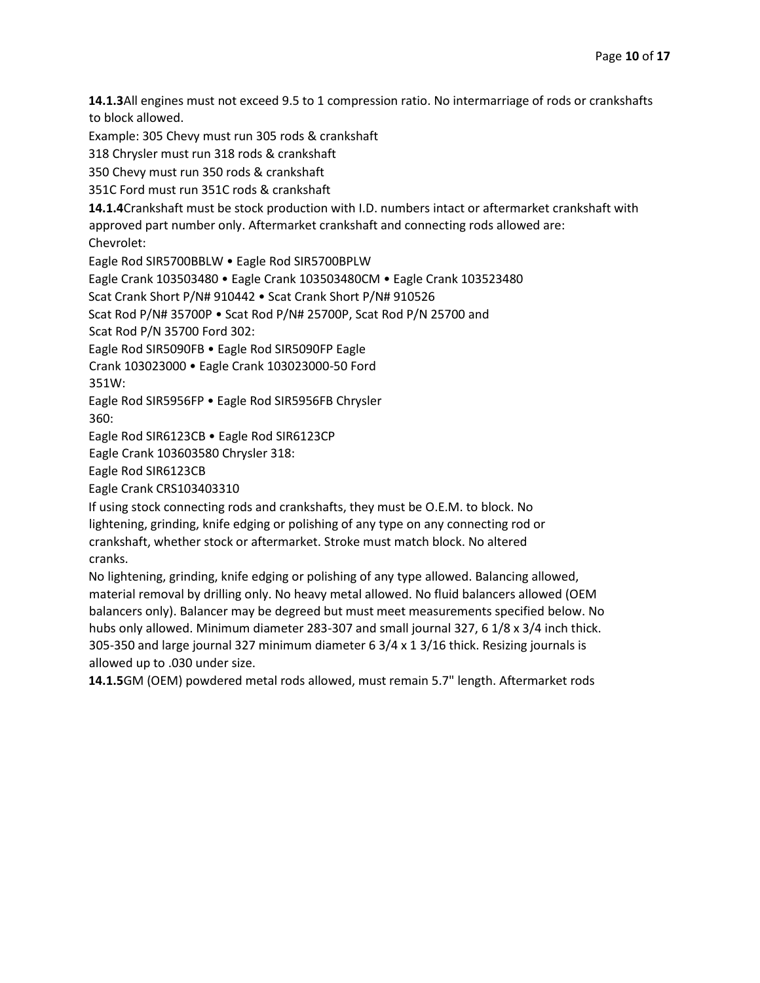**14.1.3**All engines must not exceed 9.5 to 1 compression ratio. No intermarriage of rods or crankshafts to block allowed.

Example: 305 Chevy must run 305 rods & crankshaft

318 Chrysler must run 318 rods & crankshaft

350 Chevy must run 350 rods & crankshaft

351C Ford must run 351C rods & crankshaft

**14.1.4**Crankshaft must be stock production with I.D. numbers intact or aftermarket crankshaft with approved part number only. Aftermarket crankshaft and connecting rods allowed are:

Chevrolet:

Eagle Rod SIR5700BBLW • Eagle Rod SIR5700BPLW

Eagle Crank 103503480 • Eagle Crank 103503480CM • Eagle Crank 103523480

Scat Crank Short P/N# 910442 • Scat Crank Short P/N# 910526

Scat Rod P/N# 35700P • Scat Rod P/N# 25700P, Scat Rod P/N 25700 and

Scat Rod P/N 35700 Ford 302:

Eagle Rod SIR5090FB • Eagle Rod SIR5090FP Eagle

Crank 103023000 • Eagle Crank 103023000-50 Ford

351W:

Eagle Rod SIR5956FP • Eagle Rod SIR5956FB Chrysler

360:

Eagle Rod SIR6123CB • Eagle Rod SIR6123CP

Eagle Crank 103603580 Chrysler 318:

Eagle Rod SIR6123CB

Eagle Crank CRS103403310

If using stock connecting rods and crankshafts, they must be O.E.M. to block. No lightening, grinding, knife edging or polishing of any type on any connecting rod or crankshaft, whether stock or aftermarket. Stroke must match block. No altered cranks.

No lightening, grinding, knife edging or polishing of any type allowed. Balancing allowed, material removal by drilling only. No heavy metal allowed. No fluid balancers allowed (OEM balancers only). Balancer may be degreed but must meet measurements specified below. No hubs only allowed. Minimum diameter 283-307 and small journal 327, 6 1/8 x 3/4 inch thick. 305-350 and large journal 327 minimum diameter 6 3/4 x 1 3/16 thick. Resizing journals is allowed up to .030 under size.

**14.1.5**GM (OEM) powdered metal rods allowed, must remain 5.7" length. Aftermarket rods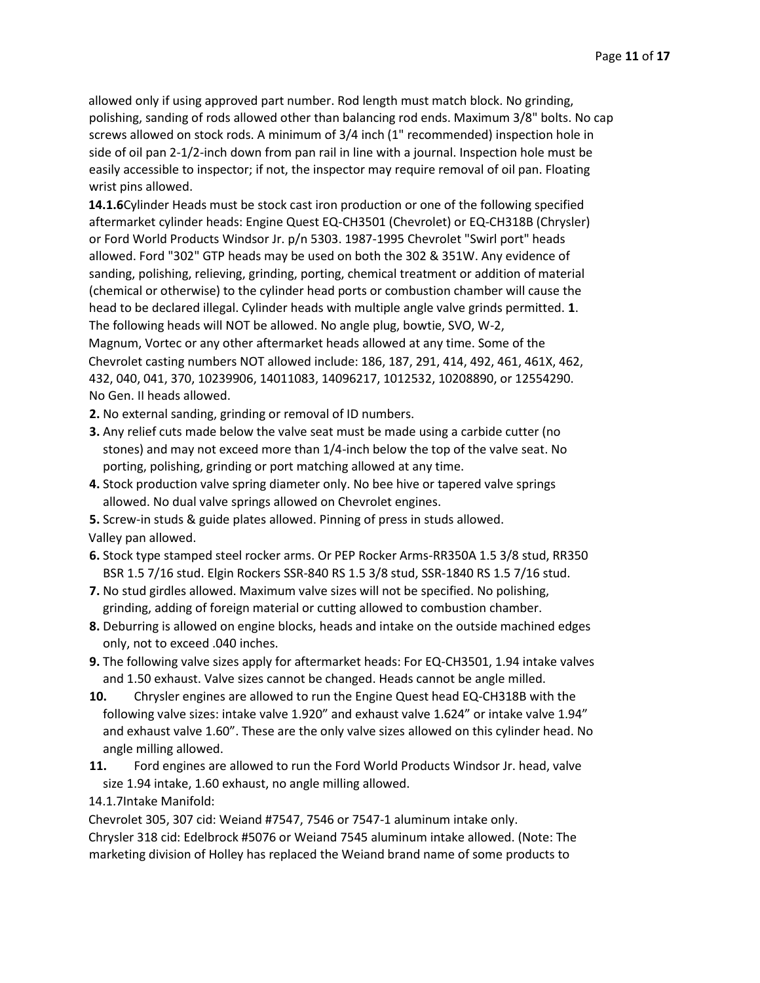allowed only if using approved part number. Rod length must match block. No grinding, polishing, sanding of rods allowed other than balancing rod ends. Maximum 3/8" bolts. No cap screws allowed on stock rods. A minimum of 3/4 inch (1" recommended) inspection hole in side of oil pan 2-1/2-inch down from pan rail in line with a journal. Inspection hole must be easily accessible to inspector; if not, the inspector may require removal of oil pan. Floating wrist pins allowed.

**14.1.6**Cylinder Heads must be stock cast iron production or one of the following specified aftermarket cylinder heads: Engine Quest EQ-CH3501 (Chevrolet) or EQ-CH318B (Chrysler) or Ford World Products Windsor Jr. p/n 5303. 1987-1995 Chevrolet "Swirl port" heads allowed. Ford "302" GTP heads may be used on both the 302 & 351W. Any evidence of sanding, polishing, relieving, grinding, porting, chemical treatment or addition of material (chemical or otherwise) to the cylinder head ports or combustion chamber will cause the head to be declared illegal. Cylinder heads with multiple angle valve grinds permitted. **1**. The following heads will NOT be allowed. No angle plug, bowtie, SVO, W-2,

Magnum, Vortec or any other aftermarket heads allowed at any time. Some of the Chevrolet casting numbers NOT allowed include: 186, 187, 291, 414, 492, 461, 461X, 462, 432, 040, 041, 370, 10239906, 14011083, 14096217, 1012532, 10208890, or 12554290. No Gen. II heads allowed.

- **2.** No external sanding, grinding or removal of ID numbers.
- **3.** Any relief cuts made below the valve seat must be made using a carbide cutter (no stones) and may not exceed more than 1/4-inch below the top of the valve seat. No porting, polishing, grinding or port matching allowed at any time.
- **4.** Stock production valve spring diameter only. No bee hive or tapered valve springs allowed. No dual valve springs allowed on Chevrolet engines.
- **5.** Screw-in studs & guide plates allowed. Pinning of press in studs allowed. Valley pan allowed.
- **6.** Stock type stamped steel rocker arms. Or PEP Rocker Arms-RR350A 1.5 3/8 stud, RR350 BSR 1.5 7/16 stud. Elgin Rockers SSR-840 RS 1.5 3/8 stud, SSR-1840 RS 1.5 7/16 stud.
- **7.** No stud girdles allowed. Maximum valve sizes will not be specified. No polishing, grinding, adding of foreign material or cutting allowed to combustion chamber.
- **8.** Deburring is allowed on engine blocks, heads and intake on the outside machined edges only, not to exceed .040 inches.
- **9.** The following valve sizes apply for aftermarket heads: For EQ-CH3501, 1.94 intake valves and 1.50 exhaust. Valve sizes cannot be changed. Heads cannot be angle milled.
- **10.** Chrysler engines are allowed to run the Engine Quest head EQ-CH318B with the following valve sizes: intake valve 1.920" and exhaust valve 1.624" or intake valve 1.94" and exhaust valve 1.60". These are the only valve sizes allowed on this cylinder head. No angle milling allowed.
- **11.** Ford engines are allowed to run the Ford World Products Windsor Jr. head, valve size 1.94 intake, 1.60 exhaust, no angle milling allowed.

14.1.7Intake Manifold:

Chevrolet 305, 307 cid: Weiand #7547, 7546 or 7547-1 aluminum intake only.

Chrysler 318 cid: Edelbrock #5076 or Weiand 7545 aluminum intake allowed. (Note: The marketing division of Holley has replaced the Weiand brand name of some products to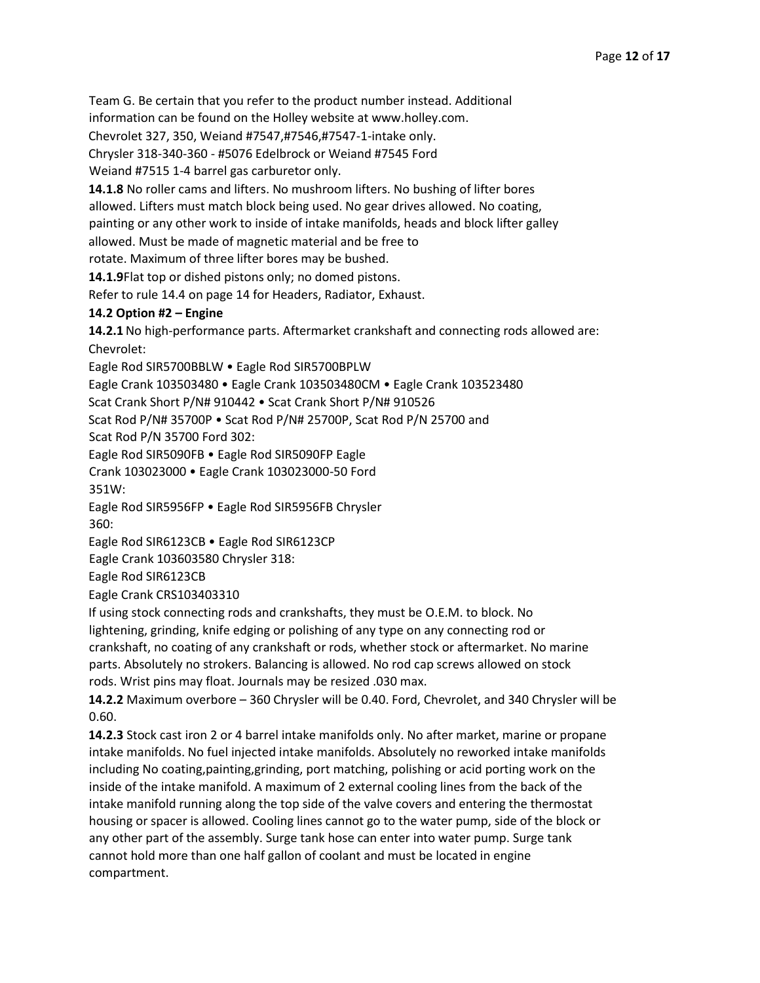Team G. Be certain that you refer to the product number instead. Additional

information can be found on the Holley website at www.holley.com.

Chevrolet 327, 350, Weiand #7547,#7546,#7547-1-intake only.

Chrysler 318-340-360 - #5076 Edelbrock or Weiand #7545 Ford

Weiand #7515 1-4 barrel gas carburetor only.

**14.1.8** No roller cams and lifters. No mushroom lifters. No bushing of lifter bores

allowed. Lifters must match block being used. No gear drives allowed. No coating,

painting or any other work to inside of intake manifolds, heads and block lifter galley

allowed. Must be made of magnetic material and be free to

rotate. Maximum of three lifter bores may be bushed.

**14.1.9**Flat top or dished pistons only; no domed pistons.

Refer to rule 14.4 on page 14 for Headers, Radiator, Exhaust.

#### **14.2 Option #2 – Engine**

**14.2.1**No high-performance parts. Aftermarket crankshaft and connecting rods allowed are: Chevrolet:

Eagle Rod SIR5700BBLW • Eagle Rod SIR5700BPLW

Eagle Crank 103503480 • Eagle Crank 103503480CM • Eagle Crank 103523480

Scat Crank Short P/N# 910442 • Scat Crank Short P/N# 910526

Scat Rod P/N# 35700P • Scat Rod P/N# 25700P, Scat Rod P/N 25700 and

Scat Rod P/N 35700 Ford 302:

Eagle Rod SIR5090FB • Eagle Rod SIR5090FP Eagle

Crank 103023000 • Eagle Crank 103023000-50 Ford

351W:

Eagle Rod SIR5956FP • Eagle Rod SIR5956FB Chrysler

360:

Eagle Rod SIR6123CB • Eagle Rod SIR6123CP

Eagle Crank 103603580 Chrysler 318:

Eagle Rod SIR6123CB

Eagle Crank CRS103403310

If using stock connecting rods and crankshafts, they must be O.E.M. to block. No lightening, grinding, knife edging or polishing of any type on any connecting rod or crankshaft, no coating of any crankshaft or rods, whether stock or aftermarket. No marine parts. Absolutely no strokers. Balancing is allowed. No rod cap screws allowed on stock rods. Wrist pins may float. Journals may be resized .030 max.

**14.2.2** Maximum overbore – 360 Chrysler will be 0.40. Ford, Chevrolet, and 340 Chrysler will be 0.60.

**14.2.3** Stock cast iron 2 or 4 barrel intake manifolds only. No after market, marine or propane intake manifolds. No fuel injected intake manifolds. Absolutely no reworked intake manifolds including No coating,painting,grinding, port matching, polishing or acid porting work on the inside of the intake manifold. A maximum of 2 external cooling lines from the back of the intake manifold running along the top side of the valve covers and entering the thermostat housing or spacer is allowed. Cooling lines cannot go to the water pump, side of the block or any other part of the assembly. Surge tank hose can enter into water pump. Surge tank cannot hold more than one half gallon of coolant and must be located in engine compartment.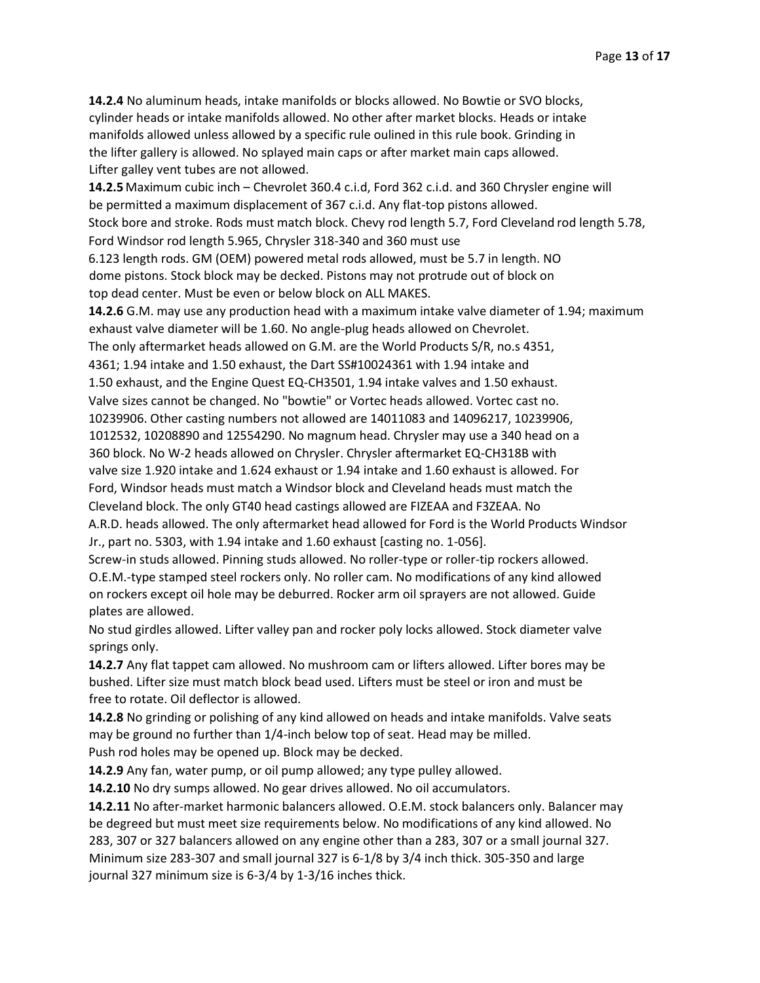**14.2.4** No aluminum heads, intake manifolds or blocks allowed. No Bowtie or SVO blocks, cylinder heads or intake manifolds allowed. No other after market blocks. Heads or intake manifolds allowed unless allowed by a specific rule oulined in this rule book. Grinding in the lifter gallery is allowed. No splayed main caps or after market main caps allowed. Lifter galley vent tubes are not allowed.

**14.2.5** Maximum cubic inch – Chevrolet 360.4 c.i.d, Ford 362 c.i.d. and 360 Chrysler engine will be permitted a maximum displacement of 367 c.i.d. Any flat-top pistons allowed. Stock bore and stroke. Rods must match block. Chevy rod length 5.7, Ford Cleveland rod length 5.78, Ford Windsor rod length 5.965, Chrysler 318-340 and 360 must use

6.123 length rods. GM (OEM) powered metal rods allowed, must be 5.7 in length. NO dome pistons. Stock block may be decked. Pistons may not protrude out of block on top dead center. Must be even or below block on ALL MAKES.

**14.2.6** G.M. may use any production head with a maximum intake valve diameter of 1.94; maximum exhaust valve diameter will be 1.60. No angle-plug heads allowed on Chevrolet.

The only aftermarket heads allowed on G.M. are the World Products S/R, no.s 4351,

4361; 1.94 intake and 1.50 exhaust, the Dart SS#10024361 with 1.94 intake and

1.50 exhaust, and the Engine Quest EQ-CH3501, 1.94 intake valves and 1.50 exhaust.

Valve sizes cannot be changed. No "bowtie" or Vortec heads allowed. Vortec cast no.

10239906. Other casting numbers not allowed are 14011083 and 14096217, 10239906,

1012532, 10208890 and 12554290. No magnum head. Chrysler may use a 340 head on a

360 block. No W-2 heads allowed on Chrysler. Chrysler aftermarket EQ-CH318B with

valve size 1.920 intake and 1.624 exhaust or 1.94 intake and 1.60 exhaust is allowed. For

Ford, Windsor heads must match a Windsor block and Cleveland heads must match the

Cleveland block. The only GT40 head castings allowed are FIZEAA and F3ZEAA. No

A.R.D. heads allowed. The only aftermarket head allowed for Ford is the World Products Windsor Jr., part no. 5303, with 1.94 intake and 1.60 exhaust [casting no. 1-056].

Screw-in studs allowed. Pinning studs allowed. No roller-type or roller-tip rockers allowed. O.E.M.-type stamped steel rockers only. No roller cam. No modifications of any kind allowed on rockers except oil hole may be deburred. Rocker arm oil sprayers are not allowed. Guide plates are allowed.

No stud girdles allowed. Lifter valley pan and rocker poly locks allowed. Stock diameter valve springs only.

**14.2.7** Any flat tappet cam allowed. No mushroom cam or lifters allowed. Lifter bores may be bushed. Lifter size must match block bead used. Lifters must be steel or iron and must be free to rotate. Oil deflector is allowed.

**14.2.8** No grinding or polishing of any kind allowed on heads and intake manifolds. Valve seats may be ground no further than 1/4-inch below top of seat. Head may be milled.

Push rod holes may be opened up. Block may be decked.

**14.2.9** Any fan, water pump, or oil pump allowed; any type pulley allowed.

**14.2.10** No dry sumps allowed. No gear drives allowed. No oil accumulators.

**14.2.11** No after-market harmonic balancers allowed. O.E.M. stock balancers only. Balancer may be degreed but must meet size requirements below. No modifications of any kind allowed. No 283, 307 or 327 balancers allowed on any engine other than a 283, 307 or a small journal 327. Minimum size 283-307 and small journal 327 is 6-1/8 by 3/4 inch thick. 305-350 and large journal 327 minimum size is 6-3/4 by 1-3/16 inches thick.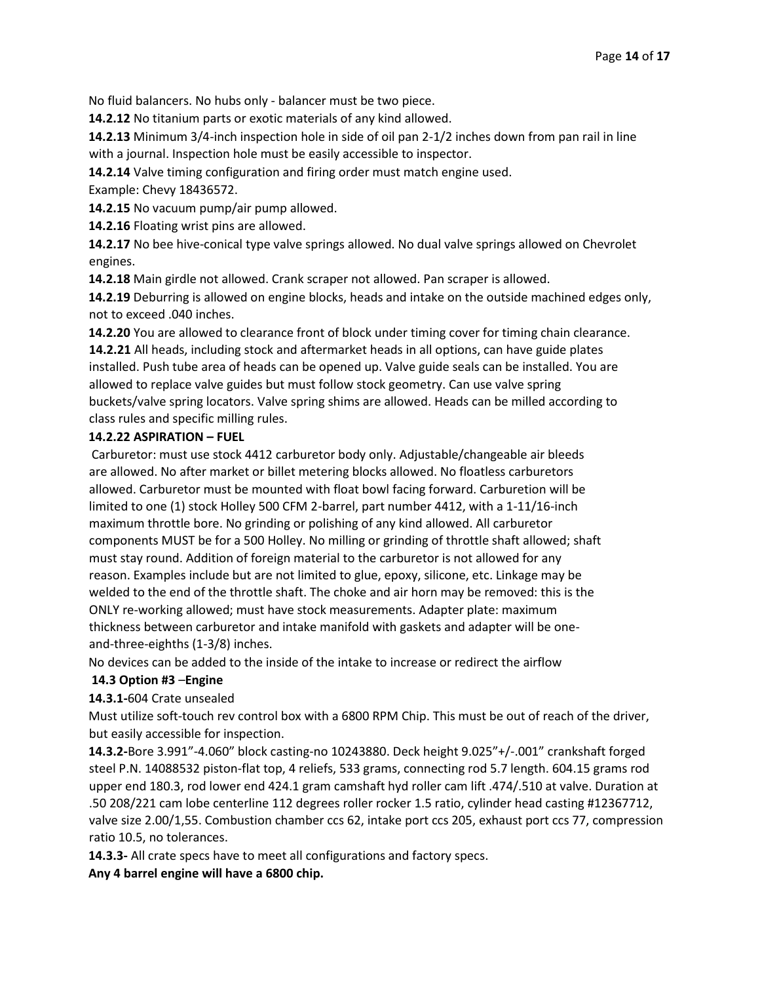No fluid balancers. No hubs only - balancer must be two piece.

**14.2.12** No titanium parts or exotic materials of any kind allowed.

**14.2.13** Minimum 3/4-inch inspection hole in side of oil pan 2-1/2 inches down from pan rail in line with a journal. Inspection hole must be easily accessible to inspector.

**14.2.14** Valve timing configuration and firing order must match engine used. Example: Chevy 18436572.

**14.2.15** No vacuum pump/air pump allowed.

**14.2.16** Floating wrist pins are allowed.

**14.2.17** No bee hive-conical type valve springs allowed. No dual valve springs allowed on Chevrolet engines.

**14.2.18** Main girdle not allowed. Crank scraper not allowed. Pan scraper is allowed.

**14.2.19** Deburring is allowed on engine blocks, heads and intake on the outside machined edges only, not to exceed .040 inches.

**14.2.20** You are allowed to clearance front of block under timing cover for timing chain clearance. **14.2.21** All heads, including stock and aftermarket heads in all options, can have guide plates installed. Push tube area of heads can be opened up. Valve guide seals can be installed. You are allowed to replace valve guides but must follow stock geometry. Can use valve spring buckets/valve spring locators. Valve spring shims are allowed. Heads can be milled according to class rules and specific milling rules.

## **14.2.22 ASPIRATION – FUEL**

Carburetor: must use stock 4412 carburetor body only. Adjustable/changeable air bleeds are allowed. No after market or billet metering blocks allowed. No floatless carburetors allowed. Carburetor must be mounted with float bowl facing forward. Carburetion will be limited to one (1) stock Holley 500 CFM 2-barrel, part number 4412, with a 1-11/16-inch maximum throttle bore. No grinding or polishing of any kind allowed. All carburetor components MUST be for a 500 Holley. No milling or grinding of throttle shaft allowed; shaft must stay round. Addition of foreign material to the carburetor is not allowed for any reason. Examples include but are not limited to glue, epoxy, silicone, etc. Linkage may be welded to the end of the throttle shaft. The choke and air horn may be removed: this is the ONLY re-working allowed; must have stock measurements. Adapter plate: maximum thickness between carburetor and intake manifold with gaskets and adapter will be oneand-three-eighths (1-3/8) inches.

No devices can be added to the inside of the intake to increase or redirect the airflow

## **14.3 Option #3** –**Engine**

## **14.3.1-**604 Crate unsealed

Must utilize soft-touch rev control box with a 6800 RPM Chip. This must be out of reach of the driver, but easily accessible for inspection.

**14.3.2-**Bore 3.991"-4.060" block casting-no 10243880. Deck height 9.025"+/-.001" crankshaft forged steel P.N. 14088532 piston-flat top, 4 reliefs, 533 grams, connecting rod 5.7 length. 604.15 grams rod upper end 180.3, rod lower end 424.1 gram camshaft hyd roller cam lift .474/.510 at valve. Duration at .50 208/221 cam lobe centerline 112 degrees roller rocker 1.5 ratio, cylinder head casting #12367712, valve size 2.00/1,55. Combustion chamber ccs 62, intake port ccs 205, exhaust port ccs 77, compression ratio 10.5, no tolerances.

**14.3.3-** All crate specs have to meet all configurations and factory specs.

**Any 4 barrel engine will have a 6800 chip.**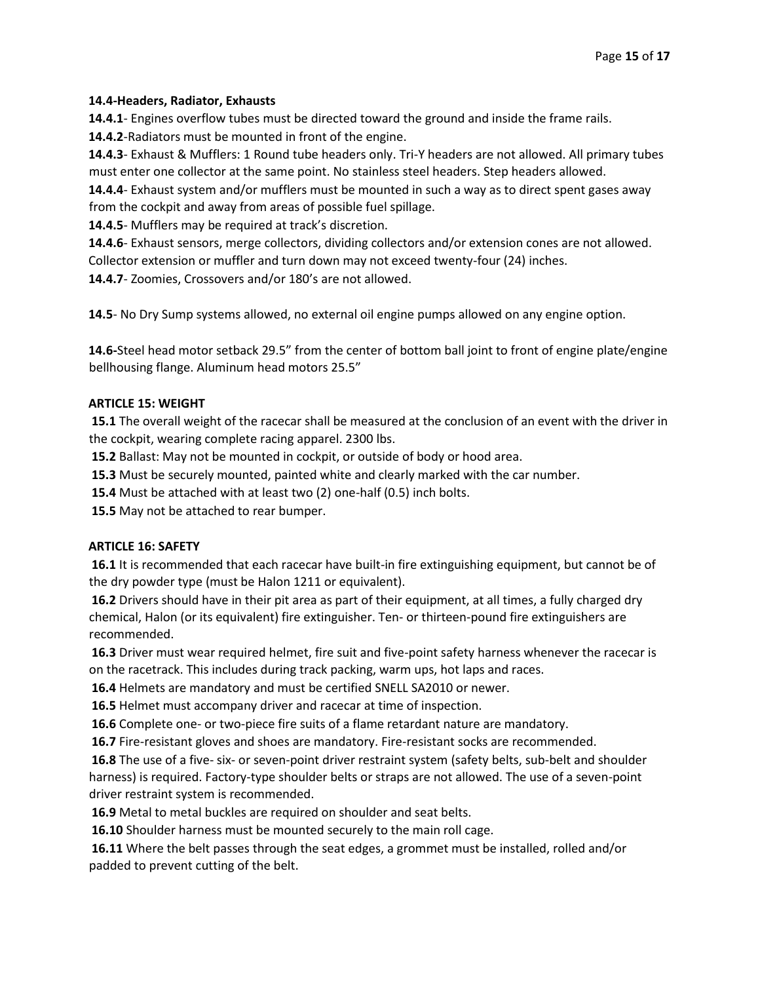### **14.4-Headers, Radiator, Exhausts**

**14.4.1**- Engines overflow tubes must be directed toward the ground and inside the frame rails.

**14.4.2**-Radiators must be mounted in front of the engine.

**14.4.3**- Exhaust & Mufflers: 1 Round tube headers only. Tri-Y headers are not allowed. All primary tubes must enter one collector at the same point. No stainless steel headers. Step headers allowed.

**14.4.4**- Exhaust system and/or mufflers must be mounted in such a way as to direct spent gases away from the cockpit and away from areas of possible fuel spillage.

**14.4.5**- Mufflers may be required at track's discretion.

**14.4.6**- Exhaust sensors, merge collectors, dividing collectors and/or extension cones are not allowed. Collector extension or muffler and turn down may not exceed twenty-four (24) inches.

**14.4.7**- Zoomies, Crossovers and/or 180's are not allowed.

**14.5**- No Dry Sump systems allowed, no external oil engine pumps allowed on any engine option.

**14.6-**Steel head motor setback 29.5" from the center of bottom ball joint to front of engine plate/engine bellhousing flange. Aluminum head motors 25.5"

#### **ARTICLE 15: WEIGHT**

**15.1** The overall weight of the racecar shall be measured at the conclusion of an event with the driver in the cockpit, wearing complete racing apparel. 2300 lbs.

**15.2** Ballast: May not be mounted in cockpit, or outside of body or hood area.

**15.3** Must be securely mounted, painted white and clearly marked with the car number.

**15.4** Must be attached with at least two (2) one-half (0.5) inch bolts.

**15.5** May not be attached to rear bumper.

## **ARTICLE 16: SAFETY**

**16.1** It is recommended that each racecar have built-in fire extinguishing equipment, but cannot be of the dry powder type (must be Halon 1211 or equivalent).

**16.2** Drivers should have in their pit area as part of their equipment, at all times, a fully charged dry chemical, Halon (or its equivalent) fire extinguisher. Ten- or thirteen-pound fire extinguishers are recommended.

**16.3** Driver must wear required helmet, fire suit and five-point safety harness whenever the racecar is on the racetrack. This includes during track packing, warm ups, hot laps and races.

**16.4** Helmets are mandatory and must be certified SNELL SA2010 or newer.

**16.5** Helmet must accompany driver and racecar at time of inspection.

**16.6** Complete one- or two-piece fire suits of a flame retardant nature are mandatory.

**16.7** Fire-resistant gloves and shoes are mandatory. Fire-resistant socks are recommended.

**16.8** The use of a five- six- or seven-point driver restraint system (safety belts, sub-belt and shoulder harness) is required. Factory-type shoulder belts or straps are not allowed. The use of a seven-point driver restraint system is recommended.

**16.9** Metal to metal buckles are required on shoulder and seat belts.

**16.10** Shoulder harness must be mounted securely to the main roll cage.

**16.11** Where the belt passes through the seat edges, a grommet must be installed, rolled and/or padded to prevent cutting of the belt.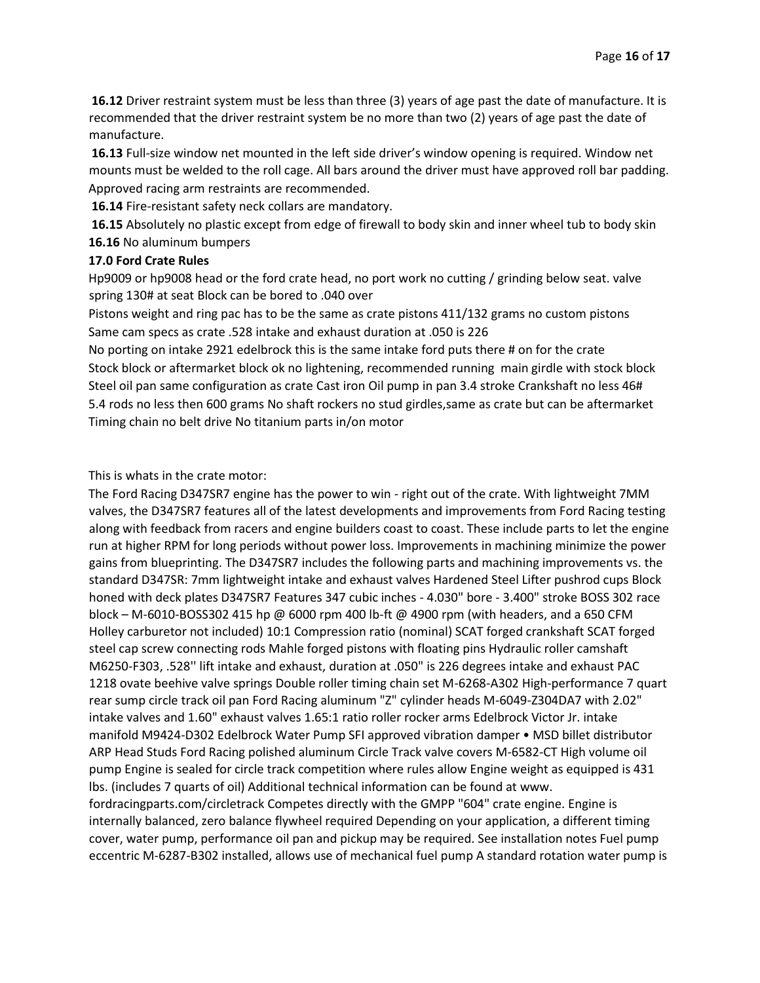**16.12** Driver restraint system must be less than three (3) years of age past the date of manufacture. It is recommended that the driver restraint system be no more than two (2) years of age past the date of manufacture.

**16.13** Full-size window net mounted in the left side driver's window opening is required. Window net mounts must be welded to the roll cage. All bars around the driver must have approved roll bar padding. Approved racing arm restraints are recommended.

**16.14** Fire-resistant safety neck collars are mandatory.

**16.15** Absolutely no plastic except from edge of firewall to body skin and inner wheel tub to body skin **16.16** No aluminum bumpers

#### **17.0 Ford Crate Rules**

Hp9009 or hp9008 head or the ford crate head, no port work no cutting / grinding below seat. valve spring 130# at seat Block can be bored to .040 over

Pistons weight and ring pac has to be the same as crate pistons 411/132 grams no custom pistons Same cam specs as crate .528 intake and exhaust duration at .050 is 226

No porting on intake 2921 edelbrock this is the same intake ford puts there # on for the crate Stock block or aftermarket block ok no lightening, recommended running main girdle with stock block Steel oil pan same configuration as crate Cast iron Oil pump in pan 3.4 stroke Crankshaft no less 46# 5.4 rods no less then 600 grams No shaft rockers no stud girdles,same as crate but can be aftermarket Timing chain no belt drive No titanium parts in/on motor

This is whats in the crate motor:

The Ford Racing D347SR7 engine has the power to win - right out of the crate. With lightweight 7MM valves, the D347SR7 features all of the latest developments and improvements from Ford Racing testing along with feedback from racers and engine builders coast to coast. These include parts to let the engine run at higher RPM for long periods without power loss. Improvements in machining minimize the power gains from blueprinting. The D347SR7 includes the following parts and machining improvements vs. the standard D347SR: 7mm lightweight intake and exhaust valves Hardened Steel Lifter pushrod cups Block honed with deck plates D347SR7 Features 347 cubic inches - 4.030" bore - 3.400" stroke BOSS 302 race block – M-6010-BOSS302 415 hp @ 6000 rpm 400 lb-ft @ 4900 rpm (with headers, and a 650 CFM Holley carburetor not included) 10:1 Compression ratio (nominal) SCAT forged crankshaft SCAT forged steel cap screw connecting rods Mahle forged pistons with floating pins Hydraulic roller camshaft M6250-F303, .528'' lift intake and exhaust, duration at .050" is 226 degrees intake and exhaust PAC 1218 ovate beehive valve springs Double roller timing chain set M-6268-A302 High-performance 7 quart rear sump circle track oil pan Ford Racing aluminum "Z" cylinder heads M-6049-Z304DA7 with 2.02" intake valves and 1.60" exhaust valves 1.65:1 ratio roller rocker arms Edelbrock Victor Jr. intake manifold M9424-D302 Edelbrock Water Pump SFI approved vibration damper • MSD billet distributor ARP Head Studs Ford Racing polished aluminum Circle Track valve covers M-6582-CT High volume oil pump Engine is sealed for circle track competition where rules allow Engine weight as equipped is 431 lbs. (includes 7 quarts of oil) Additional technical information can be found at www. fordracingparts.com/circletrack Competes directly with the GMPP "604" crate engine. Engine is internally balanced, zero balance flywheel required Depending on your application, a different timing cover, water pump, performance oil pan and pickup may be required. See installation notes Fuel pump

eccentric M-6287-B302 installed, allows use of mechanical fuel pump A standard rotation water pump is